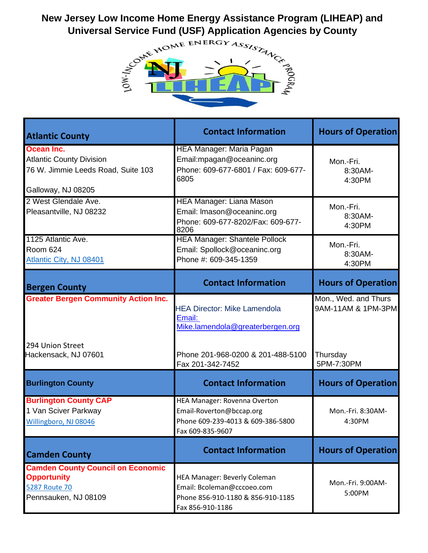## **New Jersey Low Income Home Energy Assistance Program (LIHEAP) and**



| <b>Atlantic County</b>                                                                                         | <b>Contact Information</b>                                                                                             | <b>Hours of Operation</b>                              |
|----------------------------------------------------------------------------------------------------------------|------------------------------------------------------------------------------------------------------------------------|--------------------------------------------------------|
| Ocean Inc.<br><b>Atlantic County Division</b><br>76 W. Jimmie Leeds Road, Suite 103<br>Galloway, NJ 08205      | HEA Manager: Maria Pagan<br>Email: mpagan@oceaninc.org<br>Phone: 609-677-6801 / Fax: 609-677-<br>6805                  | Mon.-Fri.<br>8:30AM-<br>4:30PM                         |
| 2 West Glendale Ave.<br>Pleasantville, NJ 08232                                                                | <b>HEA Manager: Liana Mason</b><br>Email: Imason@oceaninc.org<br>Phone: 609-677-8202/Fax: 609-677-<br>8206             | Mon.-Fri.<br>8:30AM-<br>4:30PM                         |
| 1125 Atlantic Ave.<br><b>Room 624</b><br><b>Atlantic City, NJ 08401</b>                                        | <b>HEA Manager: Shantele Pollock</b><br>Email: Spollock@oceaninc.org<br>Phone #: 609-345-1359                          | Mon.-Fri.<br>8:30AM-<br>4:30PM                         |
| <b>Bergen County</b>                                                                                           | <b>Contact Information</b>                                                                                             | <b>Hours of Operation</b>                              |
| <b>Greater Bergen Community Action Inc.</b><br>294 Union Street<br>Hackensack, NJ 07601                        | <b>HEA Director: Mike Lamendola</b><br>Email:<br>Mike.lamendola@greaterbergen.org<br>Phone 201-968-0200 & 201-488-5100 | Mon., Wed. and Thurs<br>9AM-11AM & 1PM-3PM<br>Thursday |
|                                                                                                                | Fax 201-342-7452                                                                                                       | 5PM-7:30PM                                             |
| <b>Burlington County</b>                                                                                       | <b>Contact Information</b>                                                                                             | <b>Hours of Operation</b>                              |
| <b>Burlington County CAP</b><br>1 Van Sciver Parkway<br>Willingboro, NJ 08046                                  | HEA Manager: Rovenna Overton<br>Email-Roverton@bccap.org<br>Phone 609-239-4013 & 609-386-5800<br>Fax 609-835-9607      | Mon.-Fri. 8:30AM-<br>4:30PM                            |
| <b>Camden County</b>                                                                                           | <b>Contact Information</b>                                                                                             | <b>Hours of Operation</b>                              |
| <b>Camden County Council on Economic</b><br><b>Opportunity</b><br><b>5287 Route 70</b><br>Pennsauken, NJ 08109 | HEA Manager: Beverly Coleman<br>Email: Bcoleman@cccoeo.com<br>Phone 856-910-1180 & 856-910-1185<br>Fax 856-910-1186    | Mon.-Fri. 9:00AM-<br>5:00PM                            |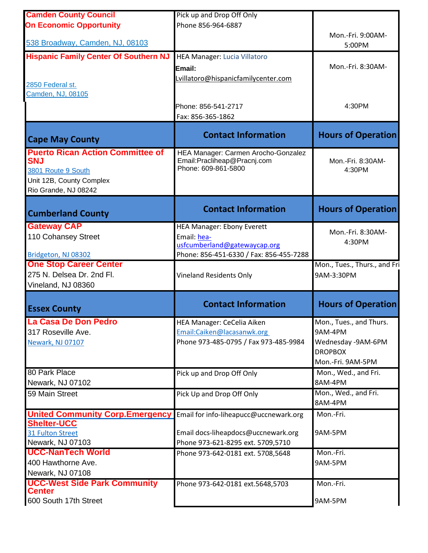| <b>Camden County Council</b>                 | Pick up and Drop Off Only               |                              |
|----------------------------------------------|-----------------------------------------|------------------------------|
| <b>On Economic Opportunity</b>               | Phone 856-964-6887                      |                              |
|                                              |                                         | Mon.-Fri. 9:00AM-            |
| 538 Broadway, Camden, NJ, 08103              |                                         | 5:00PM                       |
| <b>Hispanic Family Center Of Southern NJ</b> | HEA Manager: Lucia Villatoro            |                              |
|                                              | Email:                                  | Mon.-Fri. 8:30AM-            |
|                                              | Lvillatoro@hispanicfamilycenter.com     |                              |
| 2850 Federal st.                             |                                         |                              |
| Camden, NJ, 08105                            |                                         |                              |
|                                              | Phone: 856-541-2717                     | 4:30PM                       |
|                                              | Fax: 856-365-1862                       |                              |
|                                              |                                         |                              |
| <b>Cape May County</b>                       | <b>Contact Information</b>              | <b>Hours of Operation</b>    |
| <b>Puerto Rican Action Committee of</b>      | HEA Manager: Carmen Arocho-Gonzalez     |                              |
| <b>SNJ</b>                                   | Email: Pracliheap@Pracnj.com            | Mon.-Fri. 8:30AM-            |
| 3801 Route 9 South                           | Phone: 609-861-5800                     | 4:30PM                       |
| Unit 12B, County Complex                     |                                         |                              |
| Rio Grande, NJ 08242                         |                                         |                              |
|                                              | <b>Contact Information</b>              | <b>Hours of Operation</b>    |
| <b>Cumberland County</b>                     |                                         |                              |
| <b>Gateway CAP</b>                           | <b>HEA Manager: Ebony Everett</b>       | Mon.-Fri. 8:30AM-            |
| 110 Cohansey Street                          | Email: hea-                             | 4:30PM                       |
|                                              | usfcumberland@gatewaycap.org            |                              |
| Bridgeton, NJ 08302                          | Phone: 856-451-6330 / Fax: 856-455-7288 |                              |
| <b>One Stop Career Center</b>                |                                         | Mon., Tues., Thurs., and Fri |
| 275 N. Delsea Dr. 2nd Fl.                    | <b>Vineland Residents Only</b>          | 9AM-3:30PM                   |
| Vineland, NJ 08360                           |                                         |                              |
|                                              |                                         |                              |
|                                              | <b>Contact Information</b>              |                              |
| <b>Essex County</b>                          |                                         | <b>Hours of Operation</b>    |
| La Casa De Don Pedro                         | <b>HEA Manager: CeCelia Aiken</b>       | Mon., Tues., and Thurs.      |
| 317 Roseville Ave.                           | Email:Caiken@lacasanwk.org              | 9AM-4PM                      |
| <b>Newark, NJ 07107</b>                      | Phone 973-485-0795 / Fax 973-485-9984   | Wednesday -9AM-6PM           |
|                                              |                                         | <b>DROPBOX</b>               |
|                                              |                                         | Mon.-Fri. 9AM-5PM            |
| 80 Park Place                                | Pick up and Drop Off Only               | Mon., Wed., and Fri.         |
| Newark, NJ 07102                             |                                         | 8AM-4PM                      |
| 59 Main Street                               | Pick Up and Drop Off Only               | Mon., Wed., and Fri.         |
|                                              |                                         | 8AM-4PM                      |
| <b>United Community Corp.Emergency</b>       | Email for info-liheapucc@uccnewark.org  | Mon.-Fri.                    |
| <b>Shelter-UCC</b><br>31 Fulton Street       | Email docs-liheapdocs@uccnewark.org     | 9AM-5PM                      |
| Newark, NJ 07103                             | Phone 973-621-8295 ext. 5709,5710       |                              |
| <b>UCC-NanTech World</b>                     | Phone 973-642-0181 ext. 5708,5648       | Mon.-Fri.                    |
| 400 Hawthorne Ave.                           |                                         | 9AM-5PM                      |
| Newark, NJ 07108                             |                                         |                              |
| <b>UCC-West Side Park Community</b>          | Phone 973-642-0181 ext.5648,5703        | Mon.-Fri.                    |
| <b>Center</b><br>600 South 17th Street       |                                         | 9AM-5PM                      |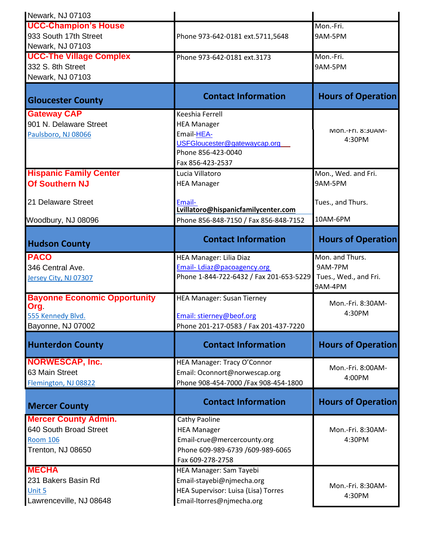| Newark, NJ 07103                    |                                         |                                  |
|-------------------------------------|-----------------------------------------|----------------------------------|
| <b>UCC-Champion's House</b>         |                                         | Mon.-Fri.                        |
| 933 South 17th Street               | Phone 973-642-0181 ext.5711,5648        | 9AM-5PM                          |
| Newark, NJ 07103                    |                                         |                                  |
| <b>UCC-The Village Complex</b>      | Phone 973-642-0181 ext.3173             | Mon.-Fri.                        |
| 332 S. 8th Street                   |                                         | 9AM-5PM                          |
| Newark, NJ 07103                    |                                         |                                  |
|                                     |                                         |                                  |
| <b>Gloucester County</b>            | <b>Contact Information</b>              | <b>Hours of Operation</b>        |
| <b>Gateway CAP</b>                  | Keeshia Ferrell                         |                                  |
| 901 N. Delaware Street              | <b>HEA Manager</b>                      |                                  |
| Paulsboro, NJ 08066                 | Email-HEA-                              | MON-FIL 8:30AM-                  |
|                                     | USFGloucester@gatewaycap.org            | 4:30PM                           |
|                                     | Phone 856-423-0040                      |                                  |
|                                     | Fax 856-423-2537                        |                                  |
| <b>Hispanic Family Center</b>       | Lucia Villatoro                         | Mon., Wed. and Fri.              |
| <b>Of Southern NJ</b>               | <b>HEA Manager</b>                      | 9AM-5PM                          |
| 21 Delaware Street                  | Email-                                  | Tues., and Thurs.                |
|                                     | Lvillatoro@hispanicfamilycenter.com     |                                  |
| Woodbury, NJ 08096                  | Phone 856-848-7150 / Fax 856-848-7152   | 10AM-6PM                         |
|                                     | <b>Contact Information</b>              |                                  |
| <b>Hudson County</b>                |                                         | <b>Hours of Operation</b>        |
| <b>PACO</b>                         | HEA Manager: Lilia Diaz                 | Mon. and Thurs.                  |
| 346 Central Ave.                    | Email-Ldiaz@pacoagency.org              | 9AM-7PM                          |
| Jersey City, NJ 07307               | Phone 1-844-722-6432 / Fax 201-653-5229 | Tues., Wed., and Fri.<br>9AM-4PM |
| <b>Bayonne Economic Opportunity</b> | <b>HEA Manager: Susan Tierney</b>       |                                  |
| Org.                                |                                         | Mon.-Fri. 8:30AM-                |
| 555 Kennedy Blvd.                   | Email: stierney@beof.org                | 4:30PM                           |
| Bayonne, NJ 07002                   | Phone 201-217-0583 / Fax 201-437-7220   |                                  |
| <b>Hunterdon County</b>             | <b>Contact Information</b>              | <b>Hours of Operation</b>        |
| <b>NORWESCAP, Inc.</b>              | HEA Manager: Tracy O'Connor             |                                  |
| 63 Main Street                      | Email: Oconnort@norwescap.org           | Mon.-Fri. 8:00AM-                |
| Flemington, NJ 08822                | Phone 908-454-7000 / Fax 908-454-1800   | 4:00PM                           |
| <b>Mercer County</b>                | <b>Contact Information</b>              | <b>Hours of Operation</b>        |
| <b>Mercer County Admin.</b>         | Cathy Paoline                           |                                  |
| 640 South Broad Street              | <b>HEA Manager</b>                      | Mon.-Fri. 8:30AM-                |
| <b>Room 106</b>                     | Email-crue@mercercounty.org             | 4:30PM                           |
| Trenton, NJ 08650                   | Phone 609-989-6739 /609-989-6065        |                                  |
|                                     | Fax 609-278-2758                        |                                  |
| <b>MECHA</b>                        | HEA Manager: Sam Tayebi                 |                                  |
| 231 Bakers Basin Rd                 | Email-stayebi@njmecha.org               | Mon.-Fri. 8:30AM-                |
| Unit 5                              | HEA Supervisor: Luisa (Lisa) Torres     | 4:30PM                           |
| Lawrenceville, NJ 08648             | Email-Itorres@njmecha.org               |                                  |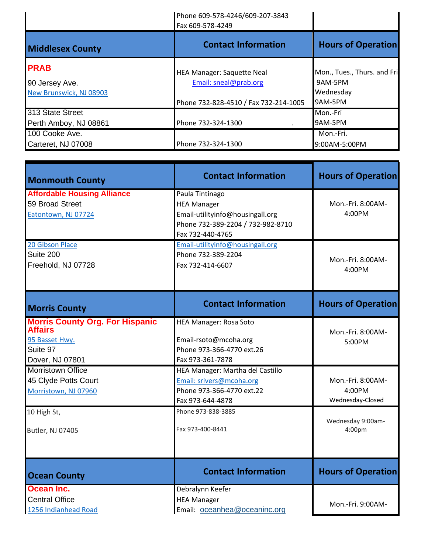|                         | Phone 609-578-4246/609-207-3843<br>Fax 609-578-4249 |                             |
|-------------------------|-----------------------------------------------------|-----------------------------|
| <b>Middlesex County</b> | <b>Contact Information</b>                          | <b>Hours of Operation</b>   |
| <b>PRAB</b>             | <b>HEA Manager: Saquette Neal</b>                   | Mon., Tues., Thurs. and Fri |
| 90 Jersey Ave.          | Email: sneal@prab.org                               | 9AM-5PM                     |
| New Brunswick, NJ 08903 |                                                     | Wednesday                   |
|                         | Phone 732-828-4510 / Fax 732-214-1005               | 9AM-5PM                     |
| 313 State Street        |                                                     | Mon.-Fri                    |
| Perth Amboy, NJ 08861   | Phone 732-324-1300                                  | 9AM-5PM                     |
| 100 Cooke Ave.          |                                                     | Mon.-Fri.                   |
| Carteret, NJ 07008      | Phone 732-324-1300                                  | 9:00AM-5:00PM               |

| <b>Monmouth County</b>                                                                                    | <b>Contact Information</b>                                                                                                         | <b>Hours of Operation</b>                       |
|-----------------------------------------------------------------------------------------------------------|------------------------------------------------------------------------------------------------------------------------------------|-------------------------------------------------|
| <b>Affordable Housing Alliance</b><br>59 Broad Street<br>Eatontown, NJ 07724                              | Paula Tintinago<br><b>HEA Manager</b><br>Email-utilityinfo@housingall.org<br>Phone 732-389-2204 / 732-982-8710<br>Fax 732-440-4765 | Mon.-Fri. 8:00AM-<br>4:00PM                     |
| 20 Gibson Place<br>Suite 200<br>Freehold, NJ 07728                                                        | Email-utilityinfo@housingall.org<br>Phone 732-389-2204<br>Fax 732-414-6607                                                         | Mon.-Fri. 8:00AM-<br>4:00PM                     |
| <b>Morris County</b>                                                                                      | <b>Contact Information</b>                                                                                                         | <b>Hours of Operation</b>                       |
| <b>Morris County Org. For Hispanic</b><br><b>Affairs</b><br>95 Basset Hwy.<br>Suite 97<br>Dover, NJ 07801 | <b>HEA Manager: Rosa Soto</b><br>Email-rsoto@mcoha.org<br>Phone 973-366-4770 ext.26<br>Fax 973-361-7878                            | Mon.-Fri. 8:00AM-<br>5:00PM                     |
| <b>Morristown Office</b><br>45 Clyde Potts Court<br>Morristown, NJ 07960                                  | HEA Manager: Martha del Castillo<br>Email: srivers@mcoha.org<br>Phone 973-366-4770 ext.22<br>Fax 973-644-4878                      | Mon.-Fri. 8:00AM-<br>4:00PM<br>Wednesday-Closed |
| 10 High St,<br>Butler, NJ 07405                                                                           | Phone 973-838-3885<br>Fax 973-400-8441                                                                                             | Wednesday 9:00am-<br>4:00pm                     |
| <b>Ocean County</b>                                                                                       | <b>Contact Information</b>                                                                                                         | <b>Hours of Operation</b>                       |
| Ocean Inc.<br><b>Central Office</b><br>1256 Indianhead Road                                               | Debralynn Keefer<br><b>HEA Manager</b><br>Email: oceanhea@oceaninc.org                                                             | Mon.-Fri. 9:00AM-                               |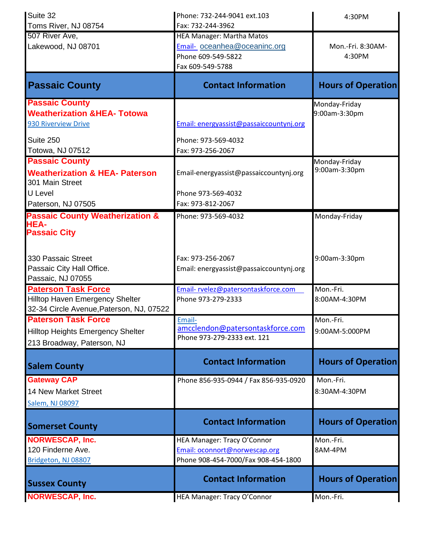| Suite 32                                                     | Phone: 732-244-9041 ext.103                                     | 4:30PM                    |
|--------------------------------------------------------------|-----------------------------------------------------------------|---------------------------|
| Toms River, NJ 08754                                         | Fax: 732-244-3962                                               |                           |
| 507 River Ave,                                               | <b>HEA Manager: Martha Matos</b>                                |                           |
| Lakewood, NJ 08701                                           | Email-oceanhea@oceaninc.org                                     | Mon.-Fri. 8:30AM-         |
|                                                              | Phone 609-549-5822                                              | 4:30PM                    |
|                                                              | Fax 609-549-5788                                                |                           |
| <b>Passaic County</b>                                        | <b>Contact Information</b>                                      | <b>Hours of Operation</b> |
| <b>Passaic County</b>                                        |                                                                 | Monday-Friday             |
| <b>Weatherization &amp;HEA- Totowa</b>                       |                                                                 | 9:00am-3:30pm             |
| 930 Riverview Drive                                          | Email: energyassist@passaiccountynj.org                         |                           |
| Suite 250                                                    | Phone: 973-569-4032                                             |                           |
| Totowa, NJ 07512                                             | Fax: 973-256-2067                                               |                           |
| <b>Passaic County</b>                                        |                                                                 | Monday-Friday             |
| <b>Weatherization &amp; HEA- Paterson</b><br>301 Main Street | Email-energyassist@passaiccountynj.org                          | 9:00am-3:30pm             |
| U Level                                                      | Phone 973-569-4032                                              |                           |
| Paterson, NJ 07505                                           | Fax: 973-812-2067                                               |                           |
| <b>Passaic County Weatherization &amp;</b>                   | Phone: 973-569-4032                                             | Monday-Friday             |
| <b>HEA-</b><br><b>Passaic City</b>                           |                                                                 |                           |
| 330 Passaic Street                                           | Fax: 973-256-2067                                               | 9:00am-3:30pm             |
| Passaic City Hall Office.                                    | Email: energyassist@passaiccountynj.org                         |                           |
| Passaic, NJ 07055                                            |                                                                 |                           |
| <b>Paterson Task Force</b>                                   | Email-rvelez@patersontaskforce.com                              | Mon.-Fri.                 |
| <b>Hilltop Haven Emergency Shelter</b>                       | Phone 973-279-2333                                              | 8:00AM-4:30PM             |
| 32-34 Circle Avenue, Paterson, NJ, 07522                     |                                                                 |                           |
| <b>Paterson Task Force</b>                                   | Email-                                                          | Mon.-Fri.                 |
| <b>Hilltop Heights Emergency Shelter</b>                     | amcclendon@patersontaskforce.com<br>Phone 973-279-2333 ext. 121 | 9:00AM-5:000PM            |
| 213 Broadway, Paterson, NJ                                   |                                                                 |                           |
| <b>Salem County</b>                                          | <b>Contact Information</b>                                      | <b>Hours of Operation</b> |
| <b>Gateway CAP</b>                                           | Phone 856-935-0944 / Fax 856-935-0920                           | Mon.-Fri.                 |
| <b>14 New Market Street</b>                                  |                                                                 | 8:30AM-4:30PM             |
| Salem, NJ 08097                                              |                                                                 |                           |
| <b>Somerset County</b>                                       | <b>Contact Information</b>                                      | <b>Hours of Operation</b> |
| <b>NORWESCAP, Inc.</b>                                       | HEA Manager: Tracy O'Connor                                     | Mon.-Fri.                 |
| 120 Finderne Ave.                                            | Email: oconnort@norwescap.org                                   | 8AM-4PM                   |
| Bridgeton, NJ 08807                                          | Phone 908-454-7000/Fax 908-454-1800                             |                           |
| <b>Sussex County</b>                                         | <b>Contact Information</b>                                      | <b>Hours of Operation</b> |
| <b>NORWESCAP, Inc.</b>                                       | HEA Manager: Tracy O'Connor                                     | Mon.-Fri.                 |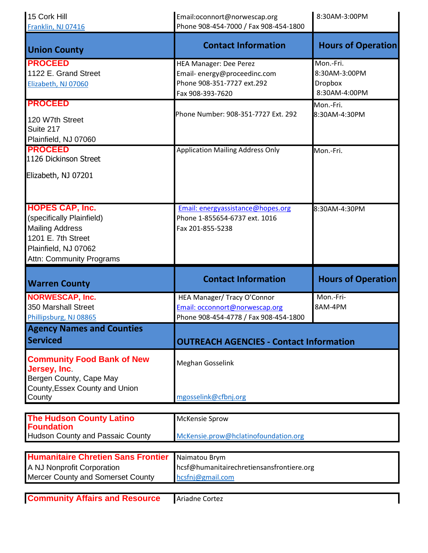| 15 Cork Hill<br>Franklin, NJ 07416                                                                                                                      | Email:oconnort@norwescap.org<br>Phone 908-454-7000 / Fax 908-454-1800                                          | 8:30AM-3:00PM                                                 |
|---------------------------------------------------------------------------------------------------------------------------------------------------------|----------------------------------------------------------------------------------------------------------------|---------------------------------------------------------------|
| <b>Union County</b>                                                                                                                                     | <b>Contact Information</b>                                                                                     | <b>Hours of Operation</b>                                     |
| <b>PROCEED</b><br>1122 E. Grand Street<br>Elizabeth, NJ 07060                                                                                           | <b>HEA Manager: Dee Perez</b><br>Email-energy@proceedinc.com<br>Phone 908-351-7727 ext.292<br>Fax 908-393-7620 | Mon.-Fri.<br>8:30AM-3:00PM<br><b>Dropbox</b><br>8:30AM-4:00PM |
| <b>PROCEED</b>                                                                                                                                          |                                                                                                                | Mon.-Fri.                                                     |
| 120 W7th Street<br>Suite 217<br>Plainfield, NJ 07060                                                                                                    | Phone Number: 908-351-7727 Ext. 292                                                                            | 8:30AM-4:30PM                                                 |
| <b>PROCEED</b><br>1126 Dickinson Street                                                                                                                 | <b>Application Mailing Address Only</b>                                                                        | Mon.-Fri.                                                     |
| Elizabeth, NJ 07201                                                                                                                                     |                                                                                                                |                                                               |
| <b>HOPES CAP, Inc.</b><br>(specifically Plainfield)<br><b>Mailing Address</b><br>1201 E. 7th Street<br>Plainfield, NJ 07062<br>Attn: Community Programs | Email: energyassistance@hopes.org<br>Phone 1-855654-6737 ext. 1016<br>Fax 201-855-5238                         | 8:30AM-4:30PM                                                 |
|                                                                                                                                                         |                                                                                                                |                                                               |
| <b>Warren County</b>                                                                                                                                    | <b>Contact Information</b>                                                                                     | <b>Hours of Operation</b>                                     |
| <b>NORWESCAP, Inc.</b><br>350 Marshall Street<br>Phillipsburg, NJ 08865                                                                                 | HEA Manager/ Tracy O'Connor<br>Email: occonnort@norwescap.org<br>Phone 908-454-4778 / Fax 908-454-1800         | Mon.-Fri-<br>8AM-4PM                                          |
| <b>Agency Names and Counties</b><br><b>Serviced</b>                                                                                                     | <b>OUTREACH AGENCIES - Contact Information</b>                                                                 |                                                               |
| <b>Community Food Bank of New</b><br>Jersey, Inc.<br>Bergen County, Cape May<br>County, Essex County and Union<br>County                                | Meghan Gosselink<br>mgosselink@cfbnj.org                                                                       |                                                               |
|                                                                                                                                                         |                                                                                                                |                                                               |
| <b>The Hudson County Latino</b><br><b>Foundation</b><br><b>Hudson County and Passaic County</b>                                                         | <b>McKensie Sprow</b><br>McKensie.prow@hclatinofoundation.org                                                  |                                                               |
|                                                                                                                                                         |                                                                                                                |                                                               |
| <b>Humanitaire Chretien Sans Frontier</b><br>A NJ Nonprofit Corporation<br>Mercer County and Somerset County                                            | Naimatou Brym<br>hcsf@humanitairechretiensansfrontiere.org<br>hcsfnj@gmail.com                                 |                                                               |